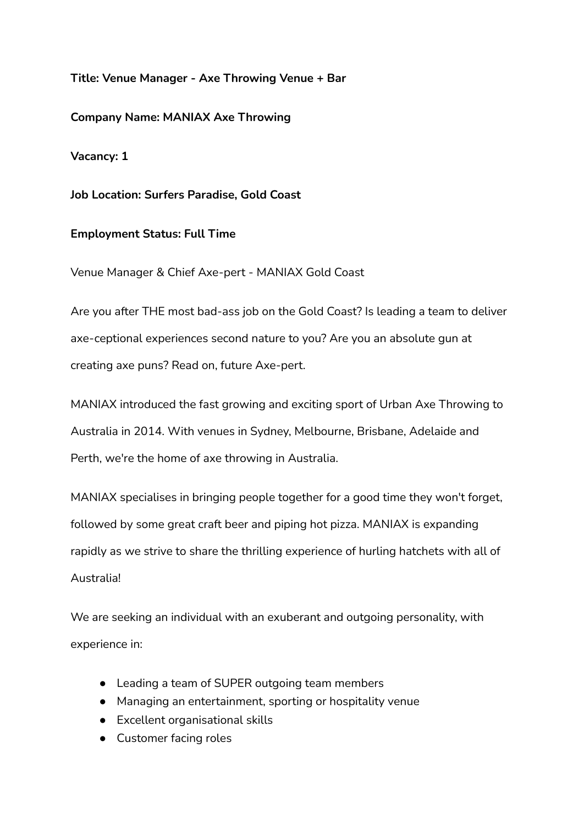## **Title: Venue Manager - Axe Throwing Venue + Bar**

**Company Name: MANIAX Axe Throwing**

**Vacancy: 1**

**Job Location: Surfers Paradise, Gold Coast**

## **Employment Status: Full Time**

Venue Manager & Chief Axe-pert - MANIAX Gold Coast

Are you after THE most bad-ass job on the Gold Coast? Is leading a team to deliver axe-ceptional experiences second nature to you? Are you an absolute gun at creating axe puns? Read on, future Axe-pert.

MANIAX introduced the fast growing and exciting sport of Urban Axe Throwing to Australia in 2014. With venues in Sydney, Melbourne, Brisbane, Adelaide and Perth, we're the home of axe throwing in Australia.

MANIAX specialises in bringing people together for a good time they won't forget, followed by some great craft beer and piping hot pizza. MANIAX is expanding rapidly as we strive to share the thrilling experience of hurling hatchets with all of Australia!

We are seeking an individual with an exuberant and outgoing personality, with experience in:

- Leading a team of SUPER outgoing team members
- Managing an entertainment, sporting or hospitality venue
- Excellent organisational skills
- Customer facing roles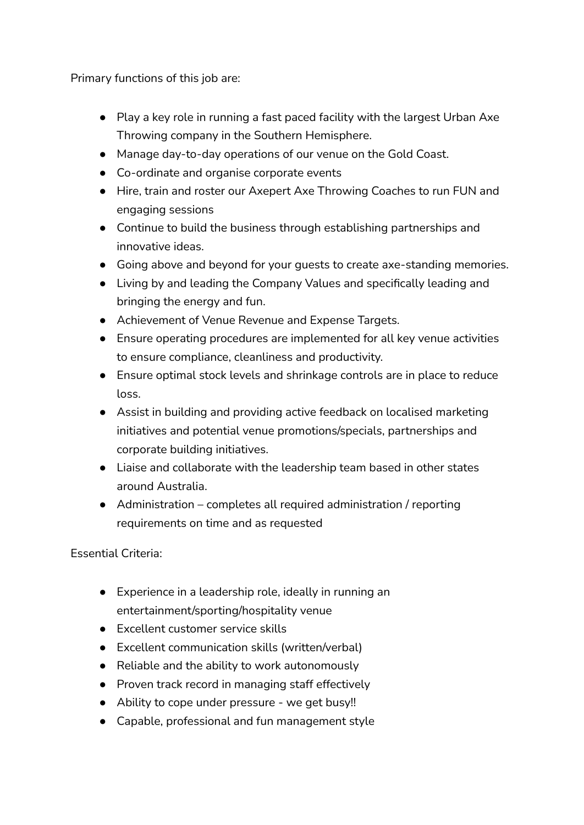Primary functions of this job are:

- Play a key role in running a fast paced facility with the largest Urban Axe Throwing company in the Southern Hemisphere.
- Manage day-to-day operations of our venue on the Gold Coast.
- Co-ordinate and organise corporate events
- Hire, train and roster our Axepert Axe Throwing Coaches to run FUN and engaging sessions
- Continue to build the business through establishing partnerships and innovative ideas.
- Going above and beyond for your guests to create axe-standing memories.
- Living by and leading the Company Values and specifically leading and bringing the energy and fun.
- Achievement of Venue Revenue and Expense Targets.
- Ensure operating procedures are implemented for all key venue activities to ensure compliance, cleanliness and productivity.
- Ensure optimal stock levels and shrinkage controls are in place to reduce loss.
- Assist in building and providing active feedback on localised marketing initiatives and potential venue promotions/specials, partnerships and corporate building initiatives.
- Liaise and collaborate with the leadership team based in other states around Australia.
- Administration completes all required administration / reporting requirements on time and as requested

Essential Criteria:

- Experience in a leadership role, ideally in running an entertainment/sporting/hospitality venue
- Excellent customer service skills
- Excellent communication skills (written/verbal)
- Reliable and the ability to work autonomously
- Proven track record in managing staff effectively
- Ability to cope under pressure we get busy‼
- Capable, professional and fun management style